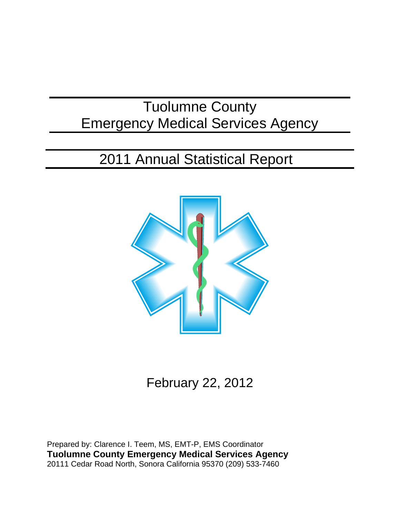## Tuolumne County Emergency Medical Services Agency

# 2011 Annual Statistical Report



February 22, 2012

Prepared by: Clarence I. Teem, MS, EMT-P, EMS Coordinator **Tuolumne County Emergency Medical Services Agency** 20111 Cedar Road North, Sonora California 95370 (209) 533-7460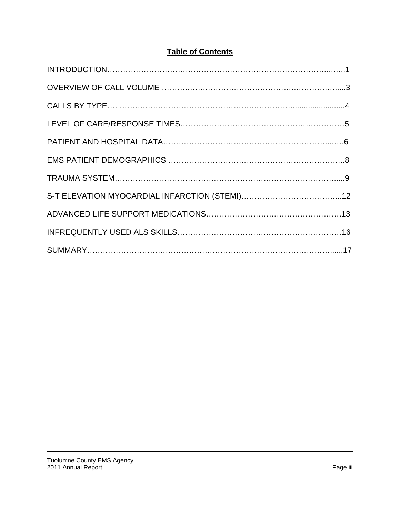## **Table of Contents**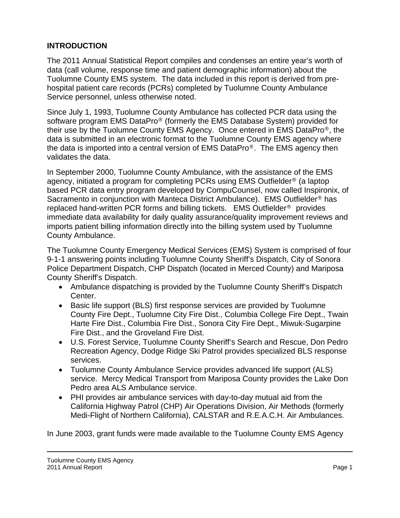#### **INTRODUCTION**

The 2011 Annual Statistical Report compiles and condenses an entire year's worth of data (call volume, response time and patient demographic information) about the Tuolumne County EMS system. The data included in this report is derived from prehospital patient care records (PCRs) completed by Tuolumne County Ambulance Service personnel, unless otherwise noted.

Since July 1, 1993, Tuolumne County Ambulance has collected PCR data using the software program EMS DataPro® (formerly the EMS Database System) provided for their use by the Tuolumne County EMS Agency. Once entered in EMS DataPro®, the data is submitted in an electronic format to the Tuolumne County EMS agency where the data is imported into a central version of EMS DataPro®. The EMS agency then validates the data.

In September 2000, Tuolumne County Ambulance, with the assistance of the EMS agency, initiated a program for completing PCRs using EMS Outfielder® (a laptop based PCR data entry program developed by CompuCounsel, now called Inspironix, of Sacramento in conjunction with Manteca District Ambulance). EMS Outfielder® has replaced hand-written PCR forms and billing tickets. EMS Outfielder® provides immediate data availability for daily quality assurance/quality improvement reviews and imports patient billing information directly into the billing system used by Tuolumne County Ambulance.

The Tuolumne County Emergency Medical Services (EMS) System is comprised of four 9-1-1 answering points including Tuolumne County Sheriff's Dispatch, City of Sonora Police Department Dispatch, CHP Dispatch (located in Merced County) and Mariposa County Sheriff's Dispatch.

- Ambulance dispatching is provided by the Tuolumne County Sheriff's Dispatch Center.
- Basic life support (BLS) first response services are provided by Tuolumne County Fire Dept., Tuolumne City Fire Dist., Columbia College Fire Dept., Twain Harte Fire Dist., Columbia Fire Dist., Sonora City Fire Dept., Miwuk-Sugarpine Fire Dist., and the Groveland Fire Dist.
- U.S. Forest Service, Tuolumne County Sheriff's Search and Rescue, Don Pedro Recreation Agency, Dodge Ridge Ski Patrol provides specialized BLS response services.
- Tuolumne County Ambulance Service provides advanced life support (ALS) service. Mercy Medical Transport from Mariposa County provides the Lake Don Pedro area ALS Ambulance service.
- PHI provides air ambulance services with day-to-day mutual aid from the California Highway Patrol (CHP) Air Operations Division, Air Methods (formerly Medi-Flight of Northern California), CALSTAR and R.E.A.C.H. Air Ambulances.

In June 2003, grant funds were made available to the Tuolumne County EMS Agency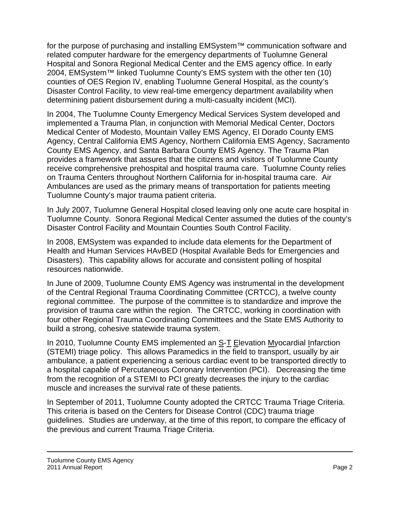for the purpose of purchasing and installing EMSystem™ communication software and related computer hardware for the emergency departments of Tuolumne General Hospital and Sonora Regional Medical Center and the EMS agency office. In early 2004, EMSystem™ linked Tuolumne County's EMS system with the other ten (10) counties of OES Region IV, enabling Tuolumne General Hospital, as the county's Disaster Control Facility, to view real-time emergency department availability when determining patient disbursement during a multi-casualty incident (MCI).

In 2004, The Tuolumne County Emergency Medical Services System developed and implemented a Trauma Plan, in conjunction with Memorial Medical Center, Doctors Medical Center of Modesto, Mountain Valley EMS Agency, El Dorado County EMS Agency, Central California EMS Agency, Northern California EMS Agency, Sacramento County EMS Agency, and Santa Barbara County EMS Agency. The Trauma Plan provides a framework that assures that the citizens and visitors of Tuolumne County receive comprehensive prehospital and hospital trauma care. Tuolumne County relies on Trauma Centers throughout Northern California for in-hospital trauma care. Air Ambulances are used as the primary means of transportation for patients meeting Tuolumne County's major trauma patient criteria.

In July 2007, Tuolumne General Hospital closed leaving only one acute care hospital in Tuolumne County. Sonora Regional Medical Center assumed the duties of the county's Disaster Control Facility and Mountain Counties South Control Facility.

In 2008, EMSystem was expanded to include data elements for the Department of Health and Human Services HAvBED (Hospital Available Beds for Emergencies and Disasters). This capability allows for accurate and consistent polling of hospital resources nationwide.

In June of 2009, Tuolumne County EMS Agency was instrumental in the development of the Central Regional Trauma Coordinating Committee (CRTCC), a twelve county regional committee. The purpose of the committee is to standardize and improve the provision of trauma care within the region. The CRTCC, working in coordination with four other Regional Trauma Coordinating Committees and the State EMS Authority to build a strong, cohesive statewide trauma system.

In 2010, Tuolumne County EMS implemented an S-T Elevation Myocardial Infarction (STEMI) triage policy. This allows Paramedics in the field to transport, usually by air ambulance, a patient experiencing a serious cardiac event to be transported directly to a hospital capable of Percutaneous Coronary Intervention (PCI). Decreasing the time from the recognition of a STEMI to PCI greatly decreases the injury to the cardiac muscle and increases the survival rate of these patients.

In September of 2011, Tuolumne County adopted the CRTCC Trauma Triage Criteria. This criteria is based on the Centers for Disease Control (CDC) trauma triage guidelines. Studies are underway, at the time of this report, to compare the efficacy of the previous and current Trauma Triage Criteria.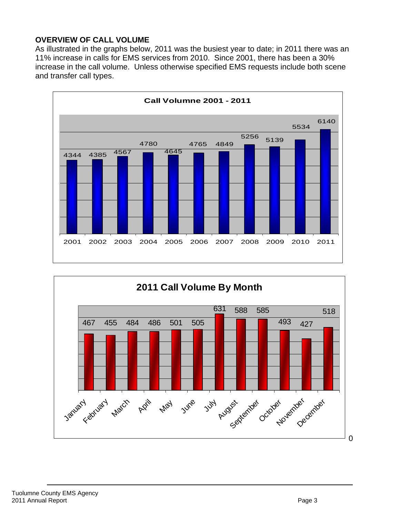### **OVERVIEW OF CALL VOLUME**

As illustrated in the graphs below, 2011 was the busiest year to date; in 2011 there was an 11% increase in calls for EMS services from 2010. Since 2001, there has been a 30% increase in the call volume. Unless otherwise specified EMS requests include both scene and transfer call types.



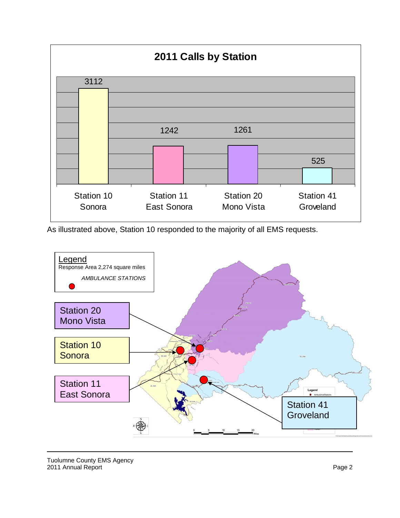

As illustrated above, Station 10 responded to the majority of all EMS requests.

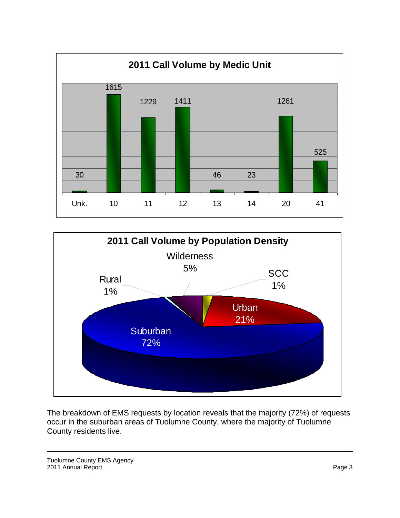



The breakdown of EMS requests by location reveals that the majority (72%) of requests occur in the suburban areas of Tuolumne County, where the majority of Tuolumne County residents live.

Tuolumne County EMS Agency 2011 Annual Report Page 3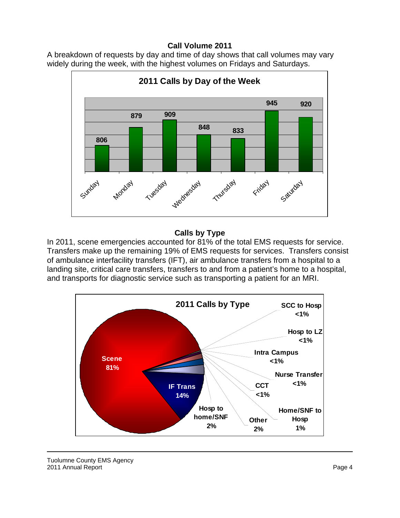#### **Call Volume 2011**

A breakdown of requests by day and time of day shows that call volumes may vary widely during the week, with the highest volumes on Fridays and Saturdays.



#### **Calls by Type**

In 2011, scene emergencies accounted for 81% of the total EMS requests for service. Transfers make up the remaining 19% of EMS requests for services. Transfers consist of ambulance interfacility transfers (IFT), air ambulance transfers from a hospital to a landing site, critical care transfers, transfers to and from a patient's home to a hospital, and transports for diagnostic service such as transporting a patient for an MRI.

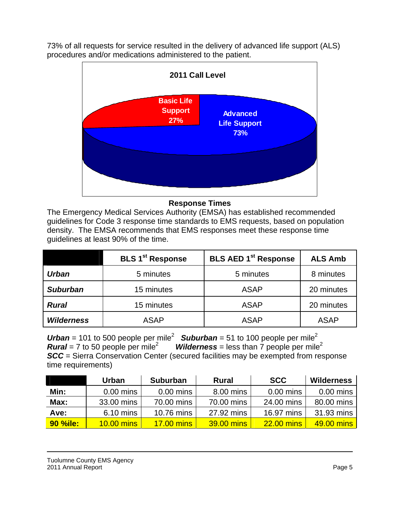73% of all requests for service resulted in the delivery of advanced life support (ALS) procedures and/or medications administered to the patient.



#### **Response Times**

The Emergency Medical Services Authority (EMSA) has established recommended guidelines for Code 3 response time standards to EMS requests, based on population density. The EMSA recommends that EMS responses meet these response time guidelines at least 90% of the time.

|                   | <b>BLS 1st Response</b> | <b>BLS AED 1st Response</b> | <b>ALS Amb</b> |  |
|-------------------|-------------------------|-----------------------------|----------------|--|
| <b>Urban</b>      | 5 minutes               | 5 minutes                   | 8 minutes      |  |
| <b>Suburban</b>   | 15 minutes              | <b>ASAP</b>                 | 20 minutes     |  |
| <b>Rural</b>      | 15 minutes              | <b>ASAP</b>                 | 20 minutes     |  |
| <b>Wilderness</b> | <b>ASAP</b>             | <b>ASAP</b>                 | <b>ASAP</b>    |  |

Urban = 101 to 500 people per mile<sup>2</sup> **Suburban** = 51 to 100 people per mile<sup>2</sup> *Rural* = 7 to 50 people per mile<sup>2</sup> *Wilderness* = less than  $\overline{7}$  people per mile<sup>2</sup> **SCC** = Sierra Conservation Center (secured facilities may be exempted from response time requirements)

|                 | <b>Urban</b> | <b>Suburban</b>   | <b>Rural</b>      | <b>SCC</b>        | Wilderness  |
|-----------------|--------------|-------------------|-------------------|-------------------|-------------|
| Min:            | $0.00$ mins  | $0.00$ mins       | 8.00 mins         | $0.00$ mins       | $0.00$ mins |
| Max:            | 33.00 mins   | 70.00 mins        | 70.00 mins        | 24.00 mins        | 80.00 mins  |
| Ave:            | 6.10 mins    | 10.76 mins        | 27.92 mins        | 16.97 mins        | 31.93 mins  |
| <b>90 %ile:</b> | 10.00 mins   | <b>17.00 mins</b> | <b>39.00 mins</b> | <b>22.00 mins</b> | 49.00 mins  |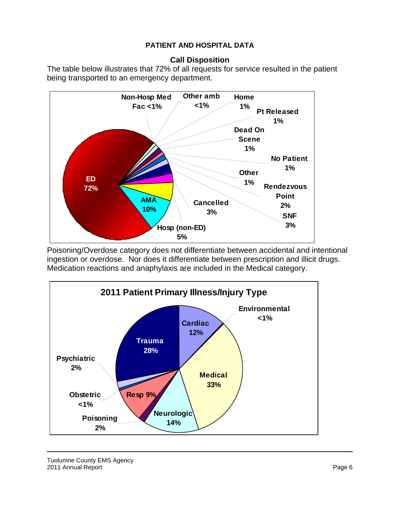#### **PATIENT AND HOSPITAL DATA**

#### **Call Disposition**

The table below illustrates that 72% of all requests for service resulted in the patient being transported to an emergency department.



Poisoning/Overdose category does not differentiate between accidental and intentional ingestion or overdose. Nor does it differentiate between prescription and illicit drugs. Medication reactions and anaphylaxis are included in the Medical category.

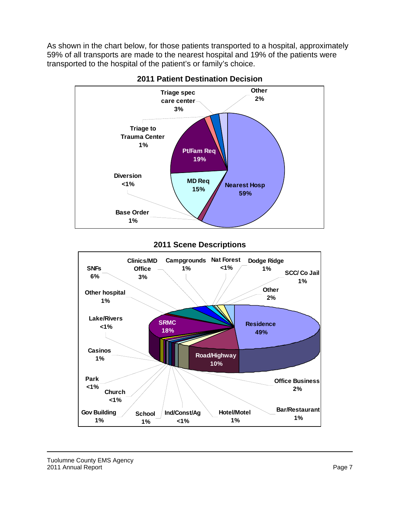As shown in the chart below, for those patients transported to a hospital, approximately 59% of all transports are made to the nearest hospital and 19% of the patients were transported to the hospital of the patient's or family's choice.



**2011 Patient Destination Decision** 

#### **2011 Scene Descriptions**

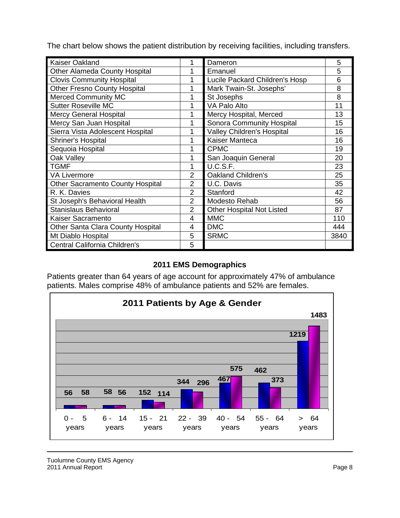The chart below shows the patient distribution by receiving facilities, including transfers.

| <b>Kaiser Oakland</b>                   |                | Dameron                           | 5    |
|-----------------------------------------|----------------|-----------------------------------|------|
| <b>Other Alameda County Hospital</b>    |                | Emanuel                           | 5    |
| <b>Clovis Community Hospital</b>        | 1              | Lucile Packard Children's Hosp    | 6    |
| <b>Other Fresno County Hospital</b>     | 1              | Mark Twain-St. Josephs'           | 8    |
| <b>Merced Community MC</b>              | 1              | St Josephs                        | 8    |
| <b>Sutter Roseville MC</b>              | 4              | VA Palo Alto                      | 11   |
| <b>Mercy General Hospital</b>           |                | Mercy Hospital, Merced            | 13   |
| Mercy San Juan Hospital                 | 1              | Sonora Community Hospital         | 15   |
| Sierra Vista Adolescent Hospital        |                | <b>Valley Children's Hospital</b> | 16   |
| <b>Shriner's Hospital</b>               | 1              | Kaiser Manteca                    | 16   |
| Sequoia Hospital                        | 1              | <b>CPMC</b>                       | 19   |
| Oak Valley                              |                | San Joaquin General               | 20   |
| <b>TGMF</b>                             | 1              | U.C.S.F.                          | 23   |
| <b>VA Livermore</b>                     | $\overline{2}$ | <b>Oakland Children's</b>         | 25   |
| <b>Other Sacramento County Hospital</b> | $\overline{2}$ | U.C. Davis                        | 35   |
| R. K. Davies                            | $\overline{2}$ | Stanford                          | 42   |
| St Joseph's Behavioral Health           | $\overline{2}$ | <b>Modesto Rehab</b>              | 56   |
| <b>Stanislaus Behavioral</b>            | $\overline{2}$ | <b>Other Hospital Not Listed</b>  | 87   |
| Kaiser Sacramento                       | 4              | <b>MMC</b>                        | 110  |
| Other Santa Clara County Hospital       | 4              | <b>DMC</b>                        | 444  |
| Mt Diablo Hospital                      | 5              | <b>SRMC</b>                       | 3840 |
| Central California Children's           | 5              |                                   |      |

## **2011 EMS Demographics**

Patients greater than 64 years of age account for approximately 47% of ambulance patients. Males comprise 48% of ambulance patients and 52% are females.



Tuolumne County EMS Agency 2011 Annual Report Page 8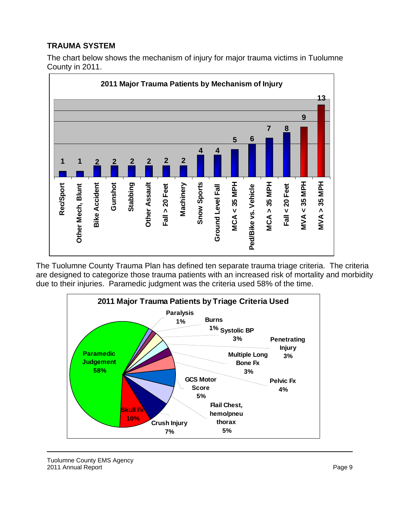## **TRAUMA SYSTEM**

The chart below shows the mechanism of injury for major trauma victims in Tuolumne County in 2011.



The Tuolumne County Trauma Plan has defined ten separate trauma triage criteria. The criteria are designed to categorize those trauma patients with an increased risk of mortality and morbidity due to their injuries. Paramedic judgment was the criteria used 58% of the time.

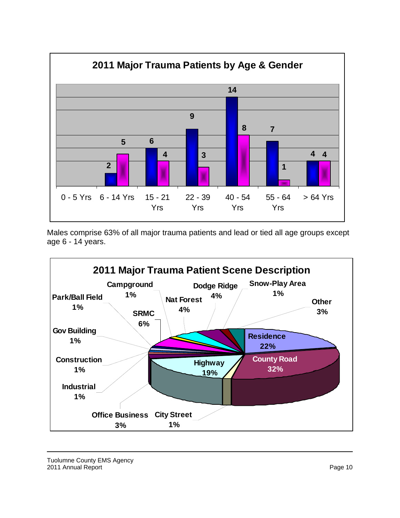

Males comprise 63% of all major trauma patients and lead or tied all age groups except age 6 - 14 years.

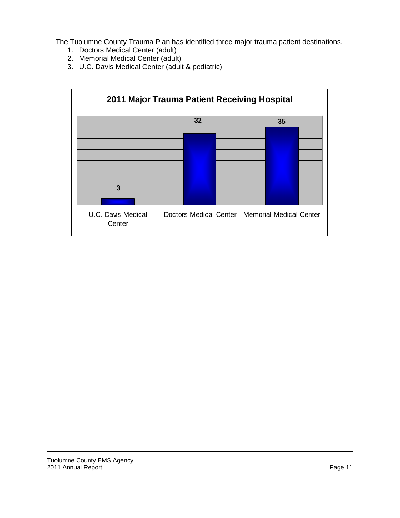The Tuolumne County Trauma Plan has identified three major trauma patient destinations.

- 1. Doctors Medical Center (adult)
- 2. Memorial Medical Center (adult)
- 3. U.C. Davis Medical Center (adult & pediatric)

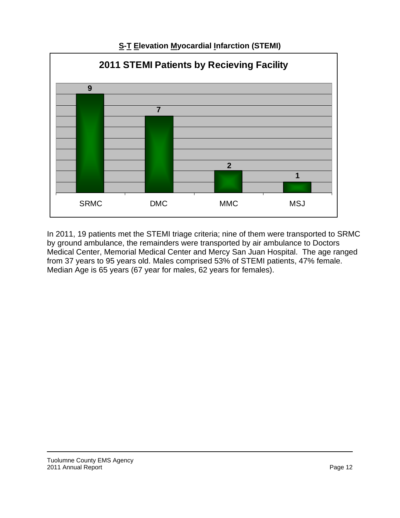

**S-T Elevation Myocardial Infarction (STEMI)** 

In 2011, 19 patients met the STEMI triage criteria; nine of them were transported to SRMC by ground ambulance, the remainders were transported by air ambulance to Doctors Medical Center, Memorial Medical Center and Mercy San Juan Hospital. The age ranged from 37 years to 95 years old. Males comprised 53% of STEMI patients, 47% female. Median Age is 65 years (67 year for males, 62 years for females).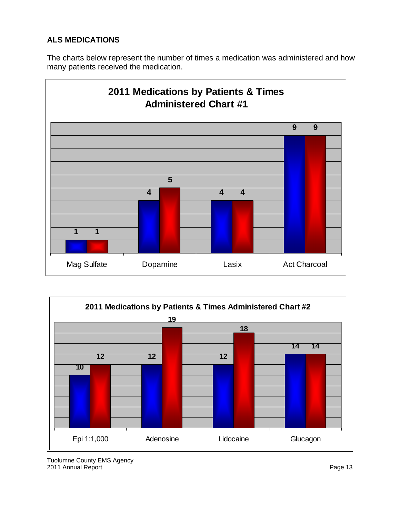## **ALS MEDICATIONS**

The charts below represent the number of times a medication was administered and how many patients received the medication.





Tuolumne County EMS Agency 2011 Annual Report **Page 13**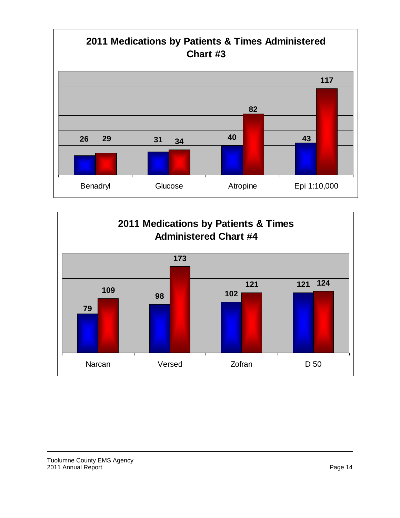

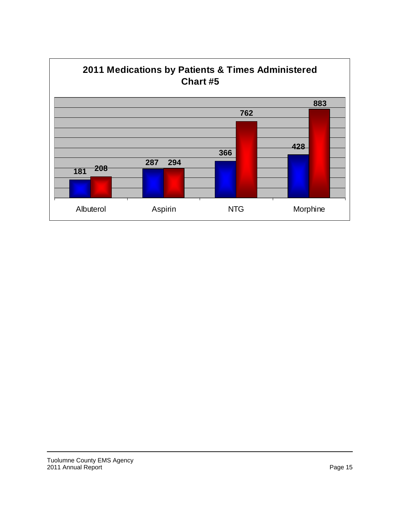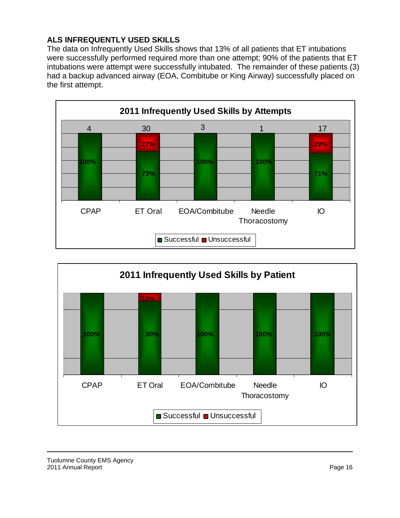## **ALS INFREQUENTLY USED SKILLS**

The data on Infrequently Used Skills shows that 13% of all patients that ET intubations were successfully performed required more than one attempt; 90% of the patients that ET intubations were attempt were successfully intubated. The remainder of these patients (3) had a backup advanced airway (EOA, Combitube or King Airway) successfully placed on the first attempt.